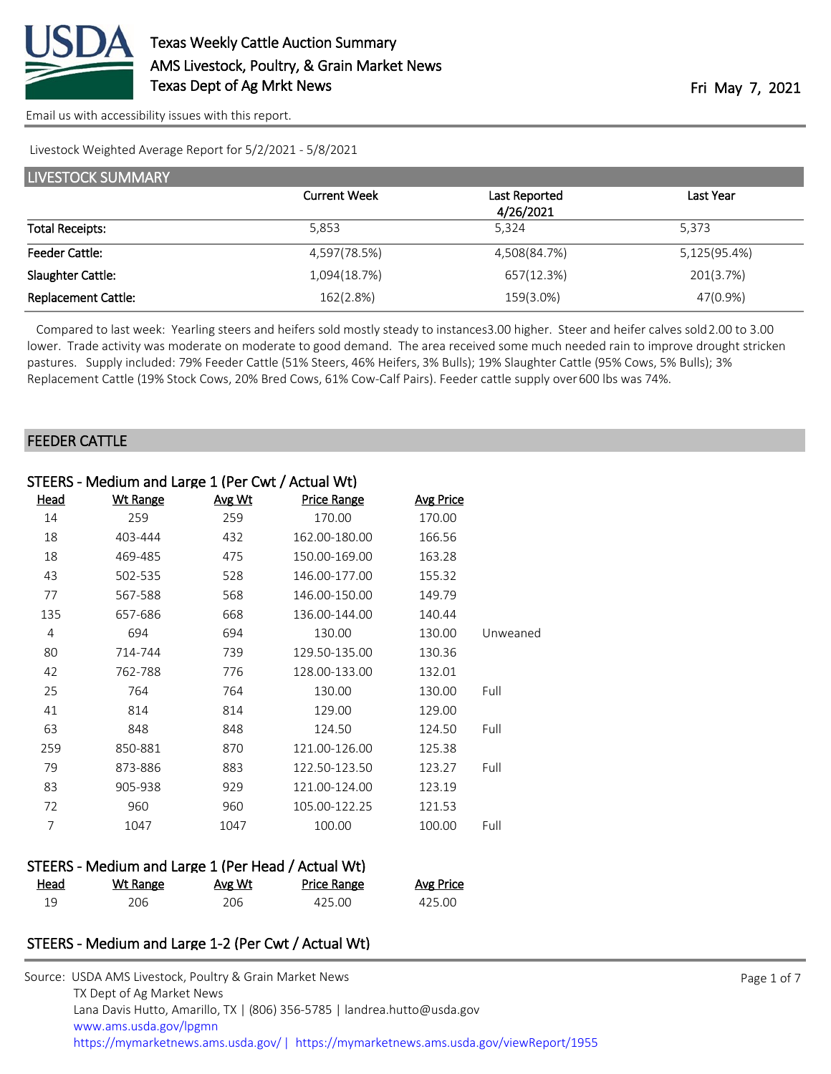

Livestock Weighted Average Report for 5/2/2021 - 5/8/2021

| <b>LIVESTOCK SUMMARY</b>   |                     |                            |              |  |  |
|----------------------------|---------------------|----------------------------|--------------|--|--|
|                            | <b>Current Week</b> | Last Reported<br>4/26/2021 | Last Year    |  |  |
| <b>Total Receipts:</b>     | 5.853               | 5.324                      | 5.373        |  |  |
| <b>Feeder Cattle:</b>      | 4,597(78.5%)        | 4,508(84.7%)               | 5,125(95.4%) |  |  |
| Slaughter Cattle:          | 1,094(18.7%)        | 657(12.3%)                 | 201(3.7%)    |  |  |
| <b>Replacement Cattle:</b> | 162(2.8%)           | 159(3.0%)                  | 47(0.9%)     |  |  |

Compared to last week: Yearling steers and heifers sold mostly steady to instances 3.00 higher. Steer and heifer calves sold 2.00 to 3.00 lower. Trade activity was moderate on moderate to good demand. The area received some much needed rain to improve drought stricken pastures. Supply included: 79% Feeder Cattle (51% Steers, 46% Heifers, 3% Bulls); 19% Slaughter Cattle (95% Cows, 5% Bulls); 3% Replacement Cattle (19% Stock Cows, 20% Bred Cows, 61% Cow-Calf Pairs). Feeder cattle supply over 600 lbs was 74%.

#### FEEDER CATTLE

| STEERS - Medium and Large 1 (Per Cwt / Actual Wt) |                 |               |               |                  |          |
|---------------------------------------------------|-----------------|---------------|---------------|------------------|----------|
| <u>Head</u>                                       | <b>Wt Range</b> | <u>Avg Wt</u> | Price Range   | <b>Avg Price</b> |          |
| 14                                                | 259             | 259           | 170.00        | 170.00           |          |
| 18                                                | 403-444         | 432           | 162.00-180.00 | 166.56           |          |
| 18                                                | 469-485         | 475           | 150.00-169.00 | 163.28           |          |
| 43                                                | 502-535         | 528           | 146.00-177.00 | 155.32           |          |
| 77                                                | 567-588         | 568           | 146.00-150.00 | 149.79           |          |
| 135                                               | 657-686         | 668           | 136.00-144.00 | 140.44           |          |
| 4                                                 | 694             | 694           | 130.00        | 130.00           | Unweaned |
| 80                                                | 714-744         | 739           | 129.50-135.00 | 130.36           |          |
| 42                                                | 762-788         | 776           | 128.00-133.00 | 132.01           |          |
| 25                                                | 764             | 764           | 130.00        | 130.00           | Full     |
| 41                                                | 814             | 814           | 129.00        | 129.00           |          |
| 63                                                | 848             | 848           | 124.50        | 124.50           | Full     |
| 259                                               | 850-881         | 870           | 121.00-126.00 | 125.38           |          |
| 79                                                | 873-886         | 883           | 122.50-123.50 | 123.27           | Full     |
| 83                                                | 905-938         | 929           | 121.00-124.00 | 123.19           |          |
| 72                                                | 960             | 960           | 105.00-122.25 | 121.53           |          |
| 7                                                 | 1047            | 1047          | 100.00        | 100.00           | Full     |
|                                                   |                 |               |               |                  |          |
|                                                   |                 |               |               |                  |          |

| STEERS - Medium and Large 1 (Per Head / Actual Wt) |          |        |                    |                  |  |
|----------------------------------------------------|----------|--------|--------------------|------------------|--|
| Head                                               | Wt Range | Avg Wt | <b>Price Range</b> | <b>Avg Price</b> |  |
| 19                                                 | 206.     | 206    | 425.00             | 425.OO           |  |

# STEERS - Medium and Large 1-2 (Per Cwt / Actual Wt)

| Source: USDA AMS Livestock, Poultry & Grain Market News                               |
|---------------------------------------------------------------------------------------|
| TX Dept of Ag Market News                                                             |
| Lana Davis Hutto, Amarillo, TX   (806) 356-5785   landrea.hutto@usda.gov              |
| www.ams.usda.gov/lpgmn                                                                |
| https://mymarketnews.ams.usda.gov/  https://mymarketnews.ams.usda.gov/viewReport/1955 |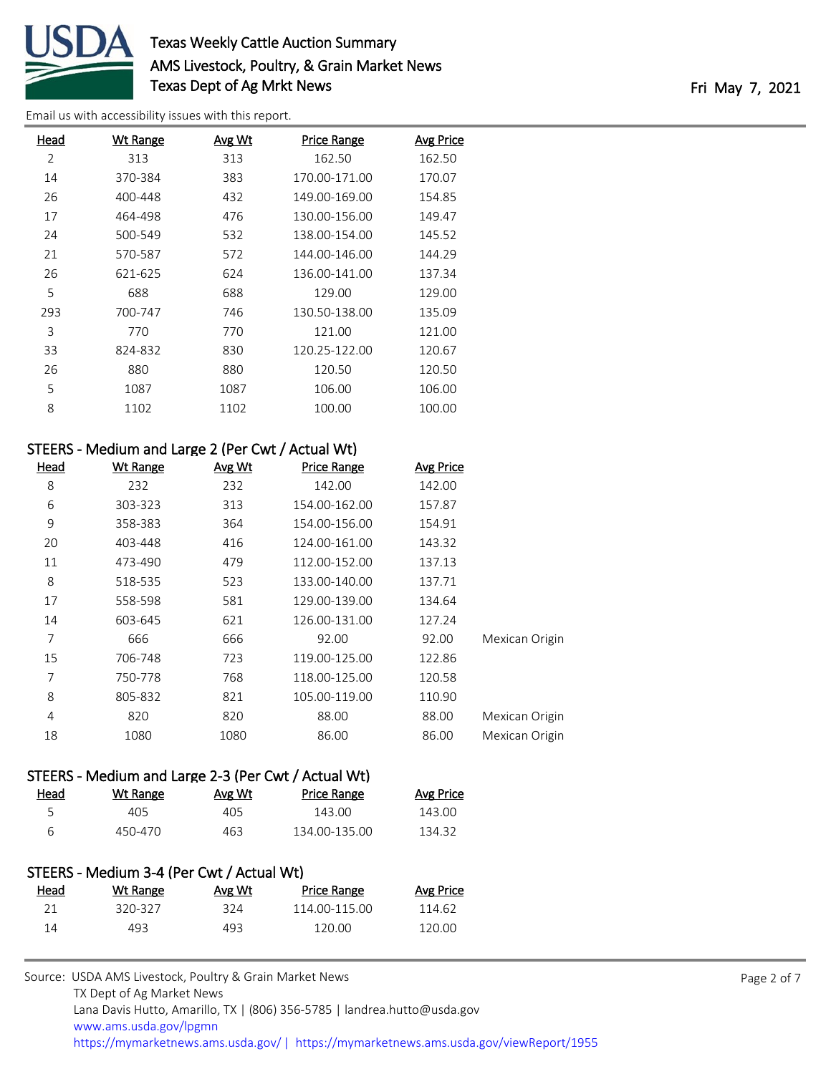

# Texas Weekly Cattle Auction Summary AMS Livestock, Poultry, & Grain Market News Texas Dept of Ag Mrkt News Texas Dept of Ag Mrkt News

[Email us with accessibility issues with this report.](mailto:mars@ams.usda.gov?subject=508%20issue)

| Head | <b>Wt Range</b> | <b>Avg Wt</b> | <b>Price Range</b> | <b>Avg Price</b> |
|------|-----------------|---------------|--------------------|------------------|
| 2    | 313             | 313           | 162.50             | 162.50           |
| 14   | 370-384         | 383           | 170.00-171.00      | 170.07           |
| 26   | 400-448         | 432           | 149.00-169.00      | 154.85           |
| 17   | 464-498         | 476           | 130.00-156.00      | 149.47           |
| 24   | 500-549         | 532           | 138.00-154.00      | 145.52           |
| 21   | 570-587         | 572           | 144.00-146.00      | 144.29           |
| 26   | 621-625         | 624           | 136.00-141.00      | 137.34           |
| 5    | 688             | 688           | 129.00             | 129.00           |
| 293  | 700-747         | 746           | 130.50-138.00      | 135.09           |
| 3    | 770             | 770           | 121.00             | 121.00           |
| 33   | 824-832         | 830           | 120.25-122.00      | 120.67           |
| 26   | 880             | 880           | 120.50             | 120.50           |
| 5    | 1087            | 1087          | 106.00             | 106.00           |
| 8    | 1102            | 1102          | 100.00             | 100.00           |

# STEERS - Medium and Large 2 (Per Cwt / Actual Wt)

| <b>Head</b> | <b>Wt Range</b> | Avg Wt | <b>Price Range</b> | <b>Avg Price</b> |                |
|-------------|-----------------|--------|--------------------|------------------|----------------|
| 8           | 232             | 232    | 142.00             | 142.00           |                |
| 6           | 303-323         | 313    | 154.00-162.00      | 157.87           |                |
| 9           | 358-383         | 364    | 154.00-156.00      | 154.91           |                |
| 20          | 403-448         | 416    | 124.00-161.00      | 143.32           |                |
| 11          | 473-490         | 479    | 112.00-152.00      | 137.13           |                |
| 8           | 518-535         | 523    | 133.00-140.00      | 137.71           |                |
| 17          | 558-598         | 581    | 129.00-139.00      | 134.64           |                |
| 14          | 603-645         | 621    | 126.00-131.00      | 127.24           |                |
| 7           | 666             | 666    | 92.00              | 92.00            | Mexican Origin |
| 15          | 706-748         | 723    | 119.00-125.00      | 122.86           |                |
| 7           | 750-778         | 768    | 118.00-125.00      | 120.58           |                |
| 8           | 805-832         | 821    | 105.00-119.00      | 110.90           |                |
| 4           | 820             | 820    | 88.00              | 88.00            | Mexican Origin |
| 18          | 1080            | 1080   | 86.00              | 86.00            | Mexican Origin |

## STEERS - Medium and Large 2-3 (Per Cwt / Actual Wt)

| Head | Wt Range | Avg Wt | Price Range   | Avg Price |
|------|----------|--------|---------------|-----------|
|      | 405.     | 405    | 143.00        | 143.00    |
| ิค   | 450-470  | 463    | 134.00-135.00 | 134.32    |

## STEERS - Medium 3-4 (Per Cwt / Actual Wt)

| Head | Wt Range | Avg Wt | <b>Price Range</b> | Avg Price |
|------|----------|--------|--------------------|-----------|
|      | 320-327  | 324    | 114.00-115.00      | 114.62    |
| 14   | 493.     | 493    | 120.00             | 120.00    |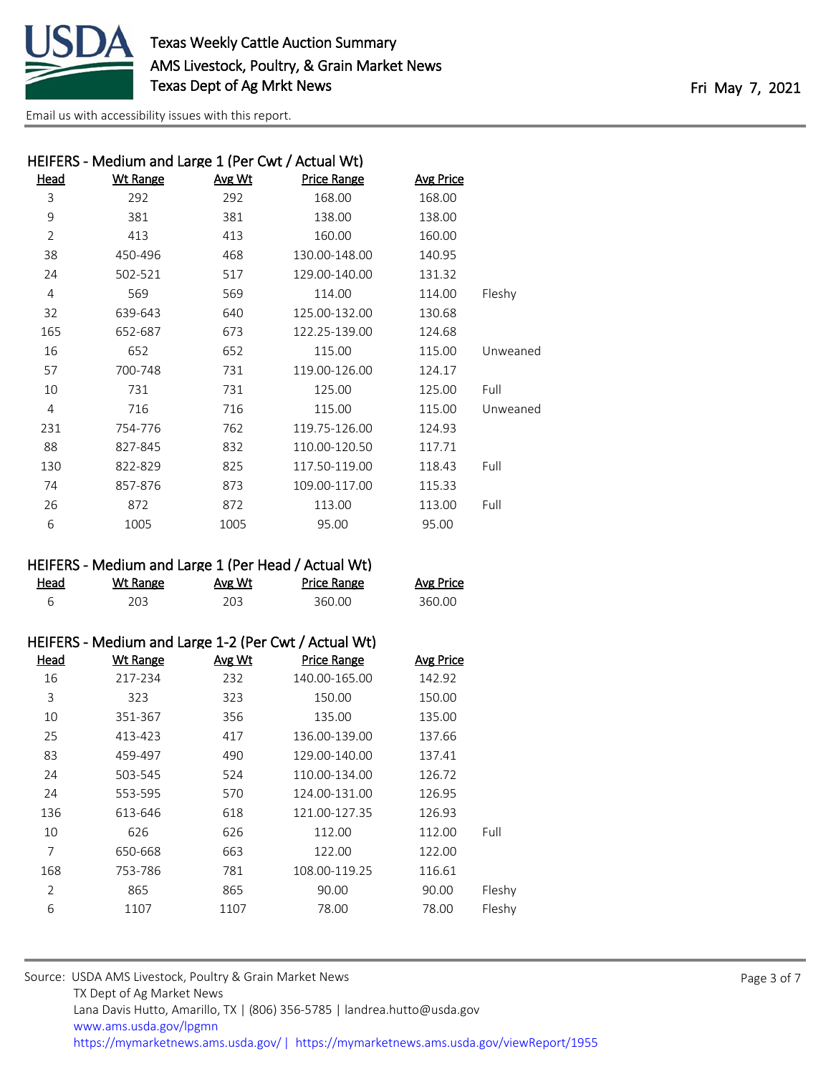

| HEIFERS - Medium and Large 1 (Per Cwt / Actual Wt) |          |               |                    |                  |          |
|----------------------------------------------------|----------|---------------|--------------------|------------------|----------|
| <b>Head</b>                                        | Wt Range | <u>Avg Wt</u> | <b>Price Range</b> | <b>Avg Price</b> |          |
| 3                                                  | 292      | 292           | 168.00             | 168.00           |          |
| 9                                                  | 381      | 381           | 138.00             | 138.00           |          |
| $\overline{2}$                                     | 413      | 413           | 160.00             | 160.00           |          |
| 38                                                 | 450-496  | 468           | 130.00-148.00      | 140.95           |          |
| 24                                                 | 502-521  | 517           | 129.00-140.00      | 131.32           |          |
| 4                                                  | 569      | 569           | 114.00             | 114.00           | Fleshy   |
| 32                                                 | 639-643  | 640           | 125.00-132.00      | 130.68           |          |
| 165                                                | 652-687  | 673           | 122.25-139.00      | 124.68           |          |
| 16                                                 | 652      | 652           | 115.00             | 115.00           | Unweaned |
| 57                                                 | 700-748  | 731           | 119.00-126.00      | 124.17           |          |
| 10                                                 | 731      | 731           | 125.00             | 125.00           | Full     |
| 4                                                  | 716      | 716           | 115.00             | 115.00           | Unweaned |
| 231                                                | 754-776  | 762           | 119.75-126.00      | 124.93           |          |
| 88                                                 | 827-845  | 832           | 110.00-120.50      | 117.71           |          |
| 130                                                | 822-829  | 825           | 117.50-119.00      | 118.43           | Full     |
| 74                                                 | 857-876  | 873           | 109.00-117.00      | 115.33           |          |
| 26                                                 | 872      | 872           | 113.00             | 113.00           | Full     |
| 6                                                  | 1005     | 1005          | 95.00              | 95.00            |          |
|                                                    |          |               |                    |                  |          |

# HEIFERS - Medium and Large 1 (Per Head / Actual Wt)

| <u>Head</u> | Wt Range | <u>Avg Wt</u> | <b>Price Range</b> | <b>Avg Price</b> |
|-------------|----------|---------------|--------------------|------------------|
|             | 203      |               | 360.00             | 360.00           |

#### HEIFERS - Medium and Large 1-2 (Per Cwt / Actual Wt)

| Head           | <b>Wt Range</b> | Avg Wt | <b>Price Range</b> | <b>Avg Price</b> |        |
|----------------|-----------------|--------|--------------------|------------------|--------|
| 16             | 217-234         | 232    | 140.00-165.00      | 142.92           |        |
| 3              | 323             | 323    | 150.00             | 150.00           |        |
| 10             | 351-367         | 356    | 135.00             | 135.00           |        |
| 25             | 413-423         | 417    | 136.00-139.00      | 137.66           |        |
| 83             | 459-497         | 490    | 129.00-140.00      | 137.41           |        |
| 24             | 503-545         | 524    | 110.00-134.00      | 126.72           |        |
| 24             | 553-595         | 570    | 124.00-131.00      | 126.95           |        |
| 136            | 613-646         | 618    | 121.00-127.35      | 126.93           |        |
| 10             | 626             | 626    | 112.00             | 112.00           | Full   |
| 7              | 650-668         | 663    | 122.00             | 122.00           |        |
| 168            | 753-786         | 781    | 108.00-119.25      | 116.61           |        |
| $\overline{2}$ | 865             | 865    | 90.00              | 90.00            | Fleshy |
| 6              | 1107            | 1107   | 78.00              | 78.00            | Fleshy |
|                |                 |        |                    |                  |        |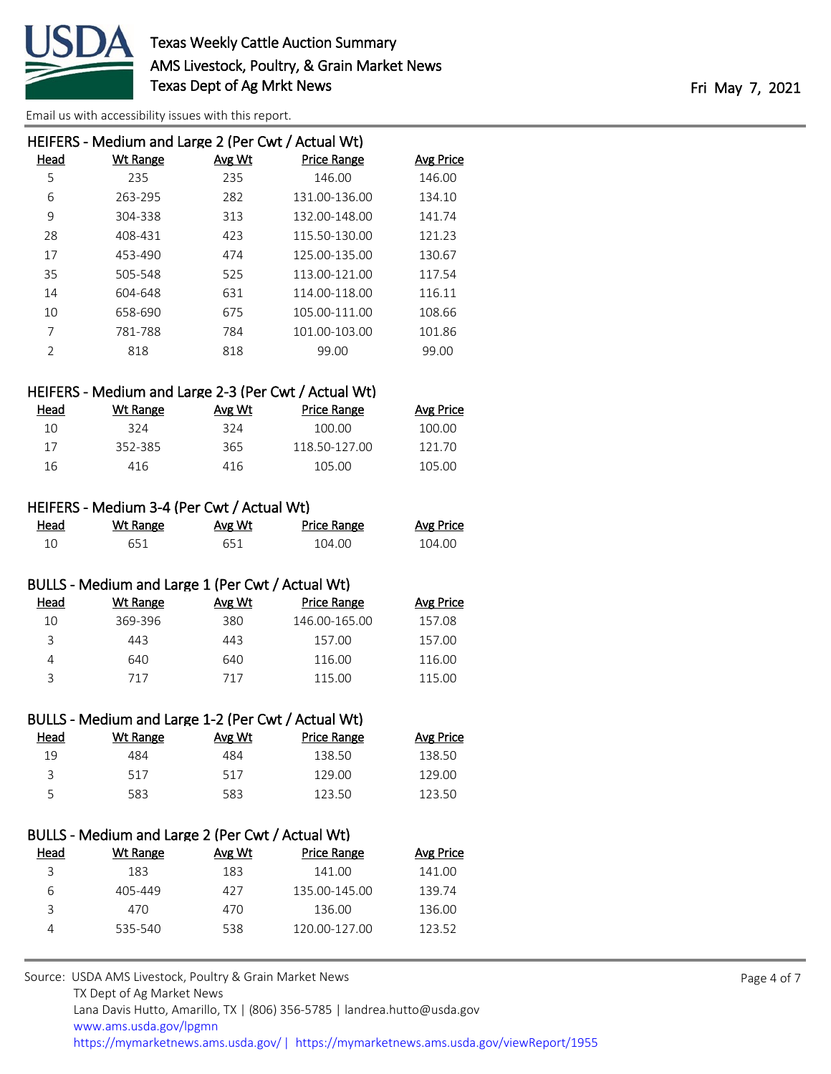

| HEIFERS - Medium and Large 2 (Per Cwt / Actual Wt) |          |        |               |           |  |
|----------------------------------------------------|----------|--------|---------------|-----------|--|
| Head                                               | Wt Range | Avg Wt | Price Range   | Avg Price |  |
| 5                                                  | 235      | 235    | 146.00        | 146.00    |  |
| 6                                                  | 263-295  | 282    | 131.00-136.00 | 134.10    |  |
| 9                                                  | 304-338  | 313    | 132.00-148.00 | 141.74    |  |
| 28                                                 | 408-431  | 423    | 115.50-130.00 | 121.23    |  |
| 17                                                 | 453-490  | 474    | 125.00-135.00 | 130.67    |  |
| 35                                                 | 505-548  | 525    | 113.00-121.00 | 117.54    |  |
| 14                                                 | 604-648  | 631    | 114.00-118.00 | 116.11    |  |
| 10                                                 | 658-690  | 675    | 105.00-111.00 | 108.66    |  |
| 7                                                  | 781-788  | 784    | 101.00-103.00 | 101.86    |  |
| $\mathfrak{D}$                                     | 818      | 818    | 99.00         | 99.00     |  |
|                                                    |          |        |               |           |  |

## HEIFERS - Medium and Large 2-3 (Per Cwt / Actual Wt)

| Head | Wt Range | Avg Wt | Price Range   | Avg Price |
|------|----------|--------|---------------|-----------|
| 10   | 324      | 324    | 100.00        | 100.00    |
| 17   | 352-385  | 365    | 118.50-127.00 | 121.70    |
| 16   | 416      | 416    | 105.00        | 105.00    |

#### HEIFERS - Medium 3-4 (Per Cwt / Actual Wt)

| Head | Wt Range | <u>Avg Wt</u> | <b>Price Range</b> | <b>Avg Price</b> |
|------|----------|---------------|--------------------|------------------|
|      | 651      | 651           | 104.00             | 104.00           |

## BULLS - Medium and Large 1 (Per Cwt / Actual Wt)

| Head | Wt Range | Avg Wt | <b>Price Range</b> | Avg Price |
|------|----------|--------|--------------------|-----------|
| 10   | 369-396  | 380    | 146.00-165.00      | 157.08    |
| 3    | 443      | 443    | 157.00             | 157.00    |
|      | 640.     | 640    | 116.00             | 116.00    |
| ς    | 717      | 717    | 115.00             | 115.00    |
|      |          |        |                    |           |

## BULLS - Medium and Large 1-2 (Per Cwt / Actual Wt) Head Wt Range Avg Wt Price Range Avg Price 19 484 484 138.50 138.50 3 517 517 129.00 129.00 5 583 583 123.50 123.50

# BULLS - Medium and Large 2 (Per Cwt / Actual Wt) Head Wt Range Avg Wt Price Range Avg Price 3 183 183 141.00 141.00 6 405-449 427 135.00-145.00 139.74 3 470 470 136.00 136.00 4 535-540 538 120.00-127.00 123.52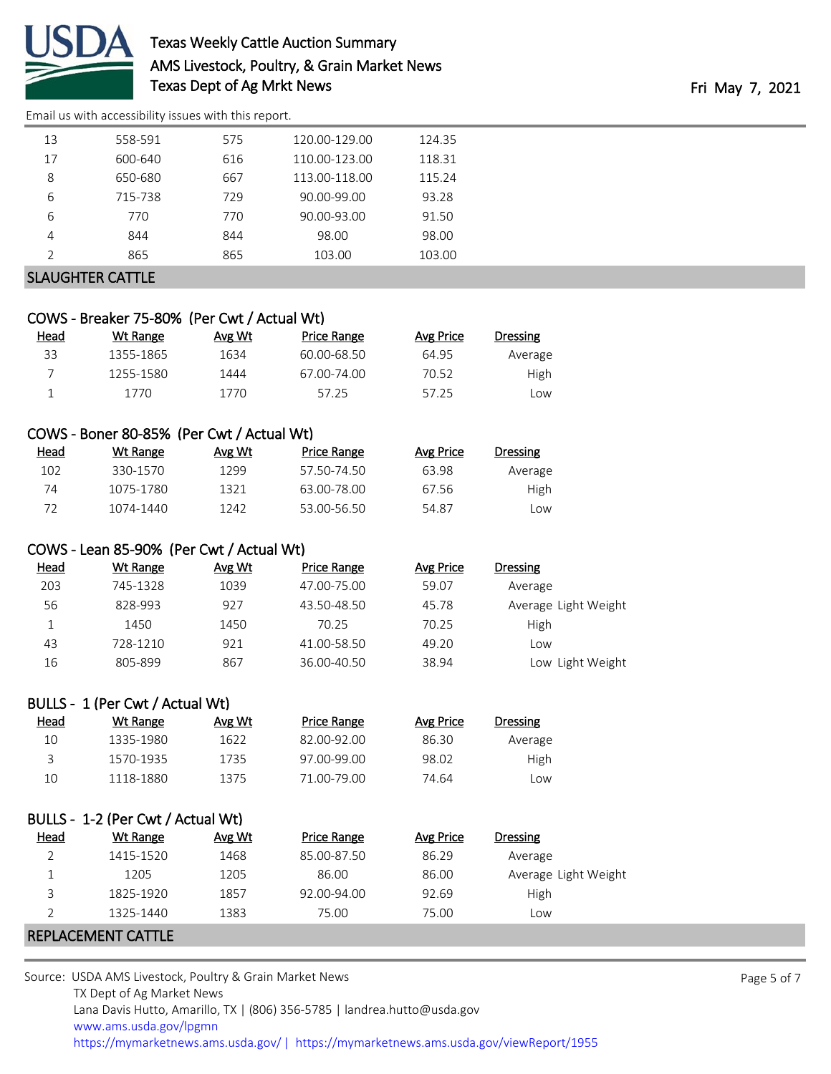

# Texas Weekly Cattle Auction Summary AMS Livestock, Poultry, & Grain Market News Texas Dept of Ag Mrkt News Texas Dept of Ag Mrkt News

[Email us with accessibility issues with this report.](mailto:mars@ams.usda.gov?subject=508%20issue)

|                | COWS - Breaker 75-80% (Per Cwt / Actual Wt) |        |                    |                  |                      |
|----------------|---------------------------------------------|--------|--------------------|------------------|----------------------|
| Head           | <b>Wt Range</b>                             | Avg Wt | <b>Price Range</b> | <b>Avg Price</b> | Dressing             |
| 33             | 1355-1865                                   | 1634   | 60.00-68.50        | 64.95            | Average              |
| $\overline{7}$ | 1255-1580                                   | 1444   | 67.00-74.00        | 70.52            | High                 |
| $\mathbf{1}$   | 1770                                        | 1770   | 57.25              | 57.25            | Low                  |
|                |                                             |        |                    |                  |                      |
|                | COWS - Boner 80-85% (Per Cwt / Actual Wt)   |        |                    |                  |                      |
| <b>Head</b>    | <b>Wt Range</b>                             | Avg Wt | <b>Price Range</b> | <b>Avg Price</b> | Dressing             |
| 102            | 330-1570                                    | 1299   | 57.50-74.50        | 63.98            | Average              |
| 74             | 1075-1780                                   | 1321   | 63.00-78.00        | 67.56            | High                 |
| 72             | 1074-1440                                   | 1242   | 53.00-56.50        | 54.87            | Low                  |
|                |                                             |        |                    |                  |                      |
|                | COWS - Lean 85-90% (Per Cwt / Actual Wt)    |        |                    |                  |                      |
| Head           | <b>Wt Range</b>                             | Avg Wt | <b>Price Range</b> | <b>Avg Price</b> | <b>Dressing</b>      |
| 203            | 745-1328                                    | 1039   | 47.00-75.00        | 59.07            | Average              |
| 56             | 828-993                                     | 927    | 43.50-48.50        | 45.78            | Average Light Weight |
| $\mathbf{1}$   | 1450                                        | 1450   | 70.25              | 70.25            | High                 |
| 43             | 728-1210                                    | 921    | 41.00-58.50        | 49.20            | Low                  |
| 16             | 805-899                                     | 867    | 36.00-40.50        | 38.94            | Low Light Weight     |
|                |                                             |        |                    |                  |                      |
|                | BULLS - 1 (Per Cwt / Actual Wt)             |        |                    |                  |                      |
| Head           | <b>Wt Range</b>                             | Avg Wt | <b>Price Range</b> | <b>Avg Price</b> | Dressing             |
| 10             | 1335-1980                                   | 1622   | 82.00-92.00        | 86.30            | Average              |
| 3              | 1570-1935                                   | 1735   | 97.00-99.00        | 98.02            | High                 |
| 10             | 1118-1880                                   | 1375   | 71.00-79.00        | 74.64            | Low                  |
|                |                                             |        |                    |                  |                      |
|                | BULLS - 1-2 (Per Cwt / Actual Wt)           |        |                    |                  |                      |
| <b>Head</b>    | <b>Wt Range</b>                             | Avg Wt | <b>Price Range</b> | <b>Avg Price</b> | <b>Dressing</b>      |
| $\overline{2}$ | 1415-1520                                   | 1468   | 85.00-87.50        | 86.29            | Average              |
| $\mathbf{1}$   | 1205                                        | 1205   | 86.00              | 86.00            | Average Light Weight |
| 3              | 1825-1920                                   | 1857   | 92.00-94.00        | 92.69            | High                 |
| $\overline{2}$ | 1325-1440                                   | 1383   | 75.00              | 75.00            | Low                  |
|                | REPLACEMENT CATTLE                          |        |                    |                  |                      |

Page 5 of 7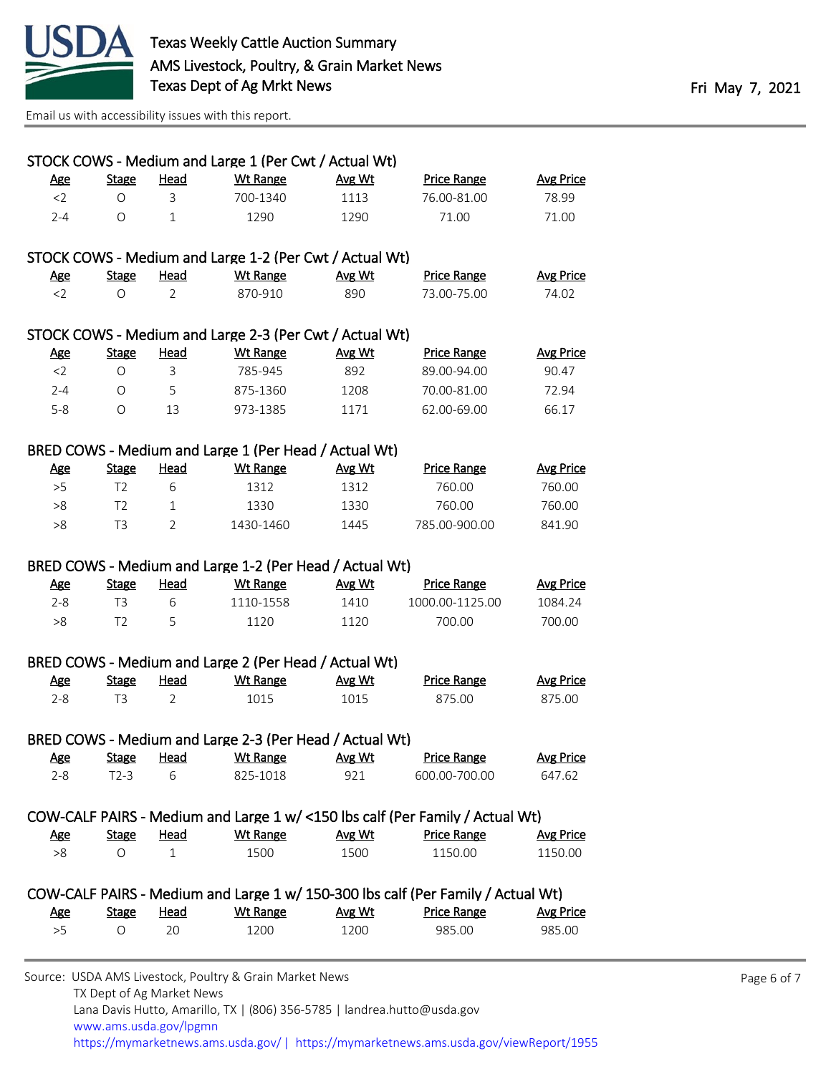

TX Dept of Ag Market News

|            |                |                | STOCK COWS - Medium and Large 1 (Per Cwt / Actual Wt)   |               |                                                                                  |                  |
|------------|----------------|----------------|---------------------------------------------------------|---------------|----------------------------------------------------------------------------------|------------------|
| <u>Age</u> | <b>Stage</b>   | <b>Head</b>    | <b>Wt Range</b>                                         | <u>Avg Wt</u> | <b>Price Range</b>                                                               | <b>Avg Price</b> |
| $<$ 2      | O              | 3              | 700-1340                                                | 1113          | 76.00-81.00                                                                      | 78.99            |
| $2 - 4$    | $\circ$        | $\mathbf 1$    | 1290                                                    | 1290          | 71.00                                                                            | 71.00            |
|            |                |                | STOCK COWS - Medium and Large 1-2 (Per Cwt / Actual Wt) |               |                                                                                  |                  |
| <b>Age</b> | <b>Stage</b>   | <b>Head</b>    | <b>Wt Range</b>                                         | Avg Wt        | <b>Price Range</b>                                                               | <b>Avg Price</b> |
| $<$ 2      | $\circ$        | $\overline{2}$ | 870-910                                                 | 890           | 73.00-75.00                                                                      | 74.02            |
|            |                |                | STOCK COWS - Medium and Large 2-3 (Per Cwt / Actual Wt) |               |                                                                                  |                  |
| <b>Age</b> | <b>Stage</b>   | <u>Head</u>    | <b>Wt Range</b>                                         | Avg Wt        | <b>Price Range</b>                                                               | <b>Avg Price</b> |
| $<$ 2      | $\bigcirc$     | 3              | 785-945                                                 | 892           | 89.00-94.00                                                                      | 90.47            |
| $2 - 4$    | 0              | 5              | 875-1360                                                | 1208          | 70.00-81.00                                                                      | 72.94            |
| $5 - 8$    | $\circ$        | 13             | 973-1385                                                | 1171          | 62.00-69.00                                                                      | 66.17            |
|            |                |                | BRED COWS - Medium and Large 1 (Per Head / Actual Wt)   |               |                                                                                  |                  |
| <u>Age</u> | <b>Stage</b>   | <b>Head</b>    | <b>Wt Range</b>                                         | Avg Wt        | <b>Price Range</b>                                                               | <b>Avg Price</b> |
| >5         | T <sub>2</sub> | 6              | 1312                                                    | 1312          | 760.00                                                                           | 760.00           |
| >8         | T <sub>2</sub> | $\mathbf{1}$   | 1330                                                    | 1330          | 760.00                                                                           | 760.00           |
| >8         | T <sub>3</sub> | $\overline{2}$ | 1430-1460                                               | 1445          | 785.00-900.00                                                                    | 841.90           |
|            |                |                | BRED COWS - Medium and Large 1-2 (Per Head / Actual Wt) |               |                                                                                  |                  |
| <b>Age</b> | <b>Stage</b>   | <b>Head</b>    | <b>Wt Range</b>                                         | <u>Avg Wt</u> | <b>Price Range</b>                                                               | <b>Avg Price</b> |
| $2 - 8$    | T3             | 6              | 1110-1558                                               | 1410          | 1000.00-1125.00                                                                  | 1084.24          |
| >8         | T <sub>2</sub> | 5              | 1120                                                    | 1120          | 700.00                                                                           | 700.00           |
|            |                |                | BRED COWS - Medium and Large 2 (Per Head / Actual Wt)   |               |                                                                                  |                  |
| <b>Age</b> | <b>Stage</b>   | <b>Head</b>    | <b>Wt Range</b>                                         | Avg Wt        | <b>Price Range</b>                                                               | <b>Avg Price</b> |
| $2 - 8$    | T <sub>3</sub> | $\overline{2}$ | 1015                                                    | 1015          | 875.00                                                                           | 875.00           |
|            |                |                | BRED COWS - Medium and Large 2-3 (Per Head / Actual Wt) |               |                                                                                  |                  |
| <u>Age</u> | <b>Stage</b>   | <u>Head</u>    | <b>Wt Range</b>                                         | Avg Wt        | <b>Price Range</b>                                                               | <b>Avg Price</b> |
| $2 - 8$    | $T2-3$         | 6              | 825-1018                                                | 921           | 600.00-700.00                                                                    | 647.62           |
|            |                |                |                                                         |               | COW-CALF PAIRS - Medium and Large 1 w/ <150 lbs calf (Per Family / Actual Wt)    |                  |
| <b>Age</b> | <b>Stage</b>   | <b>Head</b>    | <b>Wt Range</b>                                         | Avg Wt        | <b>Price Range</b>                                                               | <b>Avg Price</b> |
|            | 0              | $\mathbf{1}$   | 1500                                                    | 1500          | 1150.00                                                                          | 1150.00          |
| >8         |                |                |                                                         |               | COW-CALF PAIRS - Medium and Large 1 w/ 150-300 lbs calf (Per Family / Actual Wt) |                  |
|            |                |                |                                                         |               |                                                                                  |                  |
| <u>Age</u> | <b>Stage</b>   | <b>Head</b>    | <b>Wt Range</b>                                         | Avg Wt        | <b>Price Range</b>                                                               | <b>Avg Price</b> |

Lana Davis Hutto, Amarillo, TX | (806) 356-5785 | landrea.hutto@usda.gov